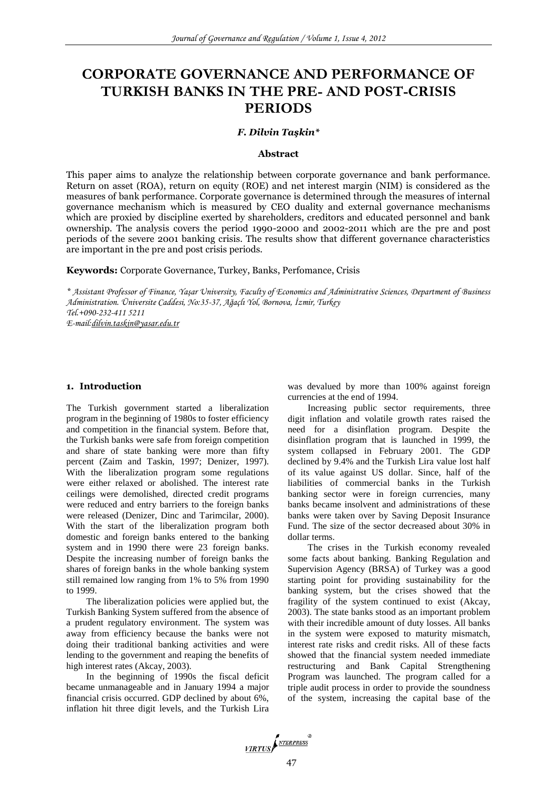# **CORPORATE GOVERNANCE AND PERFORMANCE OF TURKISH BANKS IN THE PRE- AND POST-CRISIS PERIODS**

## *F. Dilvin Taşkin\**

#### **Abstract**

This paper aims to analyze the relationship between corporate governance and bank performance. Return on asset (ROA), return on equity (ROE) and net interest margin (NIM) is considered as the measures of bank performance. Corporate governance is determined through the measures of internal governance mechanism which is measured by CEO duality and external governance mechanisms which are proxied by discipline exerted by shareholders, creditors and educated personnel and bank ownership. The analysis covers the period 1990-2000 and 2002-2011 which are the pre and post periods of the severe 2001 banking crisis. The results show that different governance characteristics are important in the pre and post crisis periods.

**Keywords:** Corporate Governance, Turkey, Banks, Perfomance, Crisis

*\* Assistant Professor of Finance, Yaşar University, Faculty of Economics and Administrative Sciences, Department of Business Administration. Üniversite Caddesi, No:35-37, Ağaçlı Yol, Bornova, İzmir, Turkey Tel.+090-232-411 5211 E-mail:dilvin.taskin@yasar.edu.tr*

## **1. Introduction**

The Turkish government started a liberalization program in the beginning of 1980s to foster efficiency and competition in the financial system. Before that, the Turkish banks were safe from foreign competition and share of state banking were more than fifty percent (Zaim and Taskin, 1997; Denizer, 1997). With the liberalization program some regulations were either relaxed or abolished. The interest rate ceilings were demolished, directed credit programs were reduced and entry barriers to the foreign banks were released (Denizer, Dinc and Tarimcilar, 2000). With the start of the liberalization program both domestic and foreign banks entered to the banking system and in 1990 there were 23 foreign banks. Despite the increasing number of foreign banks the shares of foreign banks in the whole banking system still remained low ranging from 1% to 5% from 1990 to 1999.

The liberalization policies were applied but, the Turkish Banking System suffered from the absence of a prudent regulatory environment. The system was away from efficiency because the banks were not doing their traditional banking activities and were lending to the government and reaping the benefits of high interest rates (Akcay, 2003).

In the beginning of 1990s the fiscal deficit became unmanageable and in January 1994 a major financial crisis occurred. GDP declined by about 6%, inflation hit three digit levels, and the Turkish Lira

was devalued by more than 100% against foreign currencies at the end of 1994.

Increasing public sector requirements, three digit inflation and volatile growth rates raised the need for a disinflation program. Despite the disinflation program that is launched in 1999, the system collapsed in February 2001. The GDP declined by 9.4% and the Turkish Lira value lost half of its value against US dollar. Since, half of the liabilities of commercial banks in the Turkish banking sector were in foreign currencies, many banks became insolvent and administrations of these banks were taken over by Saving Deposit Insurance Fund. The size of the sector decreased about 30% in dollar terms.

The crises in the Turkish economy revealed some facts about banking. Banking Regulation and Supervision Agency (BRSA) of Turkey was a good starting point for providing sustainability for the banking system, but the crises showed that the fragility of the system continued to exist (Akcay, 2003). The state banks stood as an important problem with their incredible amount of duty losses. All banks in the system were exposed to maturity mismatch, interest rate risks and credit risks. All of these facts showed that the financial system needed immediate restructuring and Bank Capital Strengthening Program was launched. The program called for a triple audit process in order to provide the soundness of the system, increasing the capital base of the

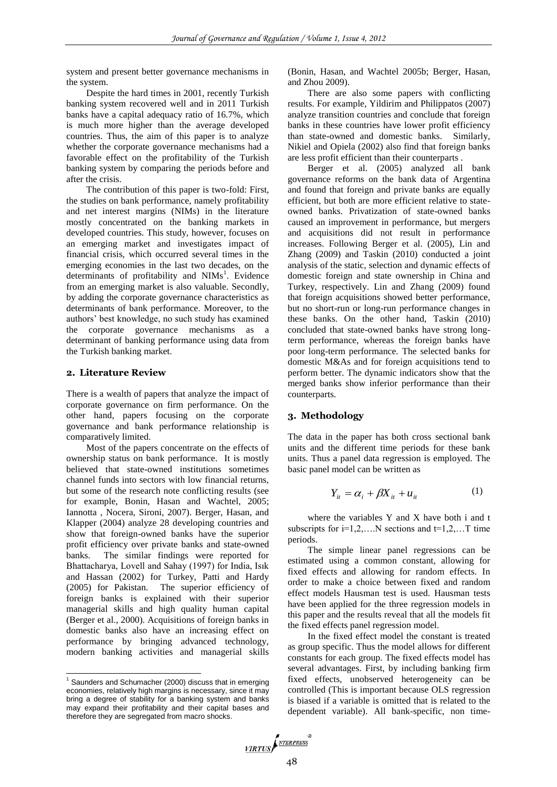system and present better governance mechanisms in the system.

Despite the hard times in 2001, recently Turkish banking system recovered well and in 2011 Turkish banks have a capital adequacy ratio of 16.7%, which is much more higher than the average developed countries. Thus, the aim of this paper is to analyze whether the corporate governance mechanisms had a favorable effect on the profitability of the Turkish banking system by comparing the periods before and after the crisis.

The contribution of this paper is two-fold: First, the studies on bank performance, namely profitability and net interest margins (NIMs) in the literature mostly concentrated on the banking markets in developed countries. This study, however, focuses on an emerging market and investigates impact of financial crisis, which occurred several times in the emerging economies in the last two decades, on the determinants of profitability and NIMs<sup>1</sup>. Evidence from an emerging market is also valuable. Secondly, by adding the corporate governance characteristics as determinants of bank performance. Moreover, to the authors' best knowledge, no such study has examined the corporate governance mechanisms as a determinant of banking performance using data from the Turkish banking market.

# **2. Literature Review**

There is a wealth of papers that analyze the impact of corporate governance on firm performance. On the other hand, papers focusing on the corporate governance and bank performance relationship is comparatively limited.

Most of the papers concentrate on the effects of ownership status on bank performance. It is mostly believed that state-owned institutions sometimes channel funds into sectors with low financial returns, but some of the research note conflicting results (see for example, Bonin, Hasan and Wachtel, 2005; Iannotta , Nocera, Sironi, 2007). Berger, Hasan, and Klapper (2004) analyze 28 developing countries and show that foreign-owned banks have the superior profit efficiency over private banks and state-owned banks. The similar findings were reported for Bhattacharya, Lovell and Sahay (1997) for India, Isık and Hassan (2002) for Turkey, Patti and Hardy (2005) for Pakistan. The superior efficiency of foreign banks is explained with their superior managerial skills and high quality human capital (Berger et al., 2000). Acquisitions of foreign banks in domestic banks also have an increasing effect on performance by bringing advanced technology, modern banking activities and managerial skills

l

(Bonin, Hasan, and Wachtel 2005b; Berger, Hasan, and Zhou 2009).

There are also some papers with conflicting results. For example, Yildirim and Philippatos (2007) analyze transition countries and conclude that foreign banks in these countries have lower profit efficiency than state-owned and domestic banks. Similarly, Nikiel and Opiela (2002) also find that foreign banks are less profit efficient than their counterparts .

Berger et al. (2005) analyzed all bank governance reforms on the bank data of Argentina and found that foreign and private banks are equally efficient, but both are more efficient relative to stateowned banks. Privatization of state-owned banks caused an improvement in performance, but mergers and acquisitions did not result in performance increases. Following Berger et al. (2005), Lin and Zhang (2009) and Taskin (2010) conducted a joint analysis of the static, selection and dynamic effects of domestic foreign and state ownership in China and Turkey, respectively. Lin and Zhang (2009) found that foreign acquisitions showed better performance, but no short-run or long-run performance changes in these banks. On the other hand, Taskin (2010) concluded that state-owned banks have strong longterm performance, whereas the foreign banks have poor long-term performance. The selected banks for domestic M&As and for foreign acquisitions tend to perform better. The dynamic indicators show that the merged banks show inferior performance than their counterparts.

# **3. Methodology**

The data in the paper has both cross sectional bank units and the different time periods for these bank units. Thus a panel data regression is employed. The basic panel model can be written as

$$
Y_{it} = \alpha_i + \beta X_{it} + u_{it} \tag{1}
$$

where the variables Y and X have both i and t subscripts for  $i=1,2,...N$  sections and  $t=1,2,...T$  time periods.

The simple linear panel regressions can be estimated using a common constant, allowing for fixed effects and allowing for random effects. In order to make a choice between fixed and random effect models Hausman test is used. Hausman tests have been applied for the three regression models in this paper and the results reveal that all the models fit the fixed effects panel regression model.

In the fixed effect model the constant is treated as group specific. Thus the model allows for different constants for each group. The fixed effects model has several advantages. First, by including banking firm fixed effects, unobserved heterogeneity can be controlled (This is important because OLS regression is biased if a variable is omitted that is related to the dependent variable). All bank-specific, non time-

 $1$  Saunders and Schumacher (2000) discuss that in emerging economies, relatively high margins is necessary, since it may bring a degree of stability for a banking system and banks may expand their profitability and their capital bases and therefore they are segregated from macro shocks.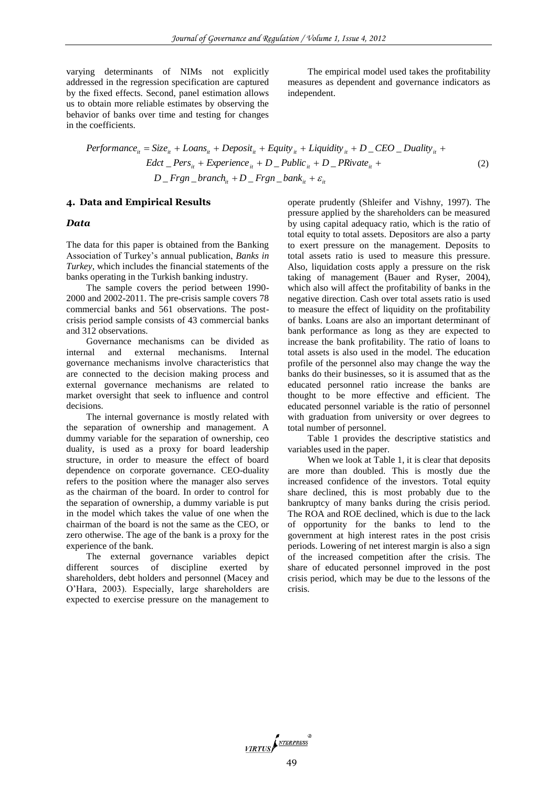varying determinants of NIMs not explicitly addressed in the regression specification are captured by the fixed effects. Second, panel estimation allows us to obtain more reliable estimates by observing the behavior of banks over time and testing for changes in the coefficients.

The empirical model used takes the profitability measures as dependent and governance indicators as independent.

$$
Performance_{ii} = Size_{ii} + Loans_{ii} + Deposit_{ii} + Equity_{ii} + Liquidity_{ii} + D\_CEO\_Duality_{ii} +
$$
  
Edct  $\_ Pers_{ii} + Experience_{ii} + D\_Public_{ii} + D\_PRivate_{ii} +$   

$$
D\_Frgn\_branch_{ii} + D\_Frgn\_bank_{ii} + \varepsilon_{ii}
$$
 (2)

#### **4. Data and Empirical Results**

#### *Data*

The data for this paper is obtained from the Banking Association of Turkey's annual publication, *Banks in Turkey*, which includes the financial statements of the banks operating in the Turkish banking industry.

The sample covers the period between 1990- 2000 and 2002-2011. The pre-crisis sample covers 78 commercial banks and 561 observations. The postcrisis period sample consists of 43 commercial banks and 312 observations.

Governance mechanisms can be divided as internal and external mechanisms. Internal governance mechanisms involve characteristics that are connected to the decision making process and external governance mechanisms are related to market oversight that seek to influence and control decisions.

The internal governance is mostly related with the separation of ownership and management. A dummy variable for the separation of ownership, ceo duality, is used as a proxy for board leadership structure, in order to measure the effect of board dependence on corporate governance. CEO-duality refers to the position where the manager also serves as the chairman of the board. In order to control for the separation of ownership, a dummy variable is put in the model which takes the value of one when the chairman of the board is not the same as the CEO, or zero otherwise. The age of the bank is a proxy for the experience of the bank.

The external governance variables depict different sources of discipline exerted by shareholders, debt holders and personnel (Macey and O'Hara, 2003). Especially, large shareholders are expected to exercise pressure on the management to

operate prudently (Shleifer and Vishny, 1997). The pressure applied by the shareholders can be measured by using capital adequacy ratio, which is the ratio of total equity to total assets. Depositors are also a party to exert pressure on the management. Deposits to total assets ratio is used to measure this pressure. Also, liquidation costs apply a pressure on the risk taking of management (Bauer and Ryser, 2004), which also will affect the profitability of banks in the negative direction. Cash over total assets ratio is used to measure the effect of liquidity on the profitability of banks. Loans are also an important determinant of bank performance as long as they are expected to increase the bank profitability. The ratio of loans to total assets is also used in the model. The education profile of the personnel also may change the way the banks do their businesses, so it is assumed that as the educated personnel ratio increase the banks are thought to be more effective and efficient. The educated personnel variable is the ratio of personnel with graduation from university or over degrees to total number of personnel.

Table 1 provides the descriptive statistics and variables used in the paper.

When we look at Table 1, it is clear that deposits are more than doubled. This is mostly due the increased confidence of the investors. Total equity share declined, this is most probably due to the bankruptcy of many banks during the crisis period. The ROA and ROE declined, which is due to the lack of opportunity for the banks to lend to the government at high interest rates in the post crisis periods. Lowering of net interest margin is also a sign of the increased competition after the crisis. The share of educated personnel improved in the post crisis period, which may be due to the lessons of the crisis.

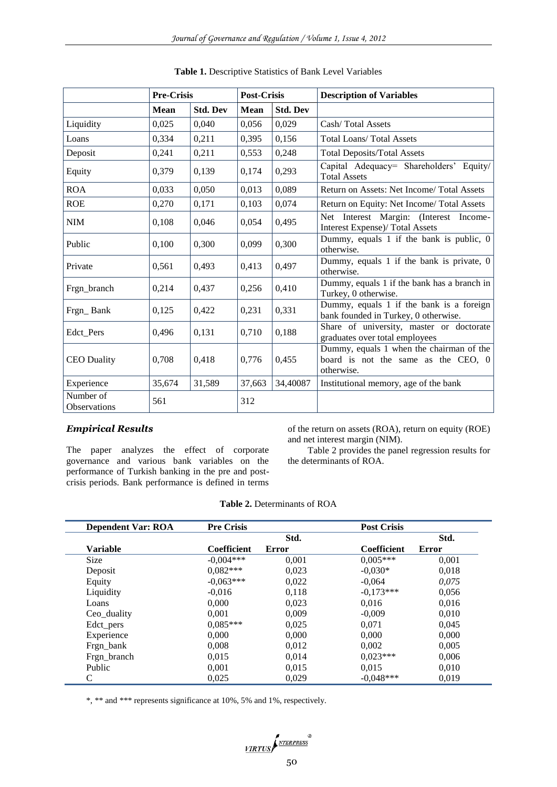|                           | <b>Pre-Crisis</b> |                 | <b>Post-Crisis</b> |                 | <b>Description of Variables</b>                                                               |
|---------------------------|-------------------|-----------------|--------------------|-----------------|-----------------------------------------------------------------------------------------------|
|                           | <b>Mean</b>       | <b>Std. Dev</b> | <b>Mean</b>        | <b>Std. Dev</b> |                                                                                               |
| Liquidity                 | 0,025             | 0,040           | 0,056              | 0,029           | Cash/Total Assets                                                                             |
| Loans                     | 0,334             | 0,211           | 0,395              | 0,156           | <b>Total Loans/ Total Assets</b>                                                              |
| Deposit                   | 0,241             | 0,211           | 0,553              | 0,248           | <b>Total Deposits/Total Assets</b>                                                            |
| Equity                    | 0,379             | 0,139           | 0,174              | 0,293           | Capital Adequacy= Shareholders' Equity/<br><b>Total Assets</b>                                |
| <b>ROA</b>                | 0,033             | 0,050           | 0,013              | 0,089           | Return on Assets: Net Income/ Total Assets                                                    |
| <b>ROE</b>                | 0,270             | 0,171           | 0,103              | 0,074           | Return on Equity: Net Income/ Total Assets                                                    |
| <b>NIM</b>                | 0,108             | 0,046           | 0,054              | 0,495           | Net Interest Margin: (Interest Income-<br><b>Interest Expense)/ Total Assets</b>              |
| Public                    | 0,100             | 0,300           | 0,099              | 0,300           | Dummy, equals 1 if the bank is public, 0<br>otherwise.                                        |
| Private                   | 0,561             | 0,493           | 0,413              | 0,497           | Dummy, equals 1 if the bank is private, 0<br>otherwise.                                       |
| Frgn branch               | 0,214             | 0,437           | 0,256              | 0,410           | Dummy, equals 1 if the bank has a branch in<br>Turkey, 0 otherwise.                           |
| Frgn_Bank                 | 0,125             | 0,422           | 0,231              | 0,331           | Dummy, equals 1 if the bank is a foreign<br>bank founded in Turkey, 0 otherwise.              |
| Edct Pers                 | 0,496             | 0,131           | 0,710              | 0,188           | Share of university, master or doctorate<br>graduates over total employees                    |
| <b>CEO</b> Duality        | 0,708             | 0,418           | 0,776              | 0,455           | Dummy, equals 1 when the chairman of the<br>board is not the same as the CEO, 0<br>otherwise. |
| Experience                | 35,674            | 31,589          | 37,663             | 34,40087        | Institutional memory, age of the bank                                                         |
| Number of<br>Observations | 561               |                 | 312                |                 |                                                                                               |

# *Empirical Results*

The paper analyzes the effect of corporate governance and various bank variables on the performance of Turkish banking in the pre and postcrisis periods. Bank performance is defined in terms of the return on assets (ROA), return on equity (ROE) and net interest margin (NIM).

Table 2 provides the panel regression results for the determinants of ROA.

|  | <b>Table 2. Determinants of ROA</b> |  |
|--|-------------------------------------|--|
|--|-------------------------------------|--|

| <b>Dependent Var: ROA</b> | <b>Pre Crisis</b>  |       | <b>Post Crisis</b> |       |
|---------------------------|--------------------|-------|--------------------|-------|
|                           |                    | Std.  |                    | Std.  |
| <b>Variable</b>           | <b>Coefficient</b> | Error | Coefficient        | Error |
| <b>Size</b>               | $-0.004***$        | 0,001 | $0.005***$         | 0,001 |
| Deposit                   | $0,082***$         | 0,023 | $-0.030*$          | 0,018 |
| Equity                    | $-0.063***$        | 0,022 | $-0,064$           | 0,075 |
| Liquidity                 | $-0.016$           | 0,118 | $-0.173***$        | 0,056 |
| Loans                     | 0.000              | 0.023 | 0.016              | 0.016 |
| Ceo_duality               | 0,001              | 0,009 | $-0,009$           | 0,010 |
| Edct_pers                 | $0.085***$         | 0,025 | 0.071              | 0,045 |
| Experience                | 0.000              | 0,000 | 0,000              | 0,000 |
| Frgn_bank                 | 0,008              | 0,012 | 0,002              | 0,005 |
| Frgn_branch               | 0.015              | 0.014 | $0.023***$         | 0,006 |
| Public                    | 0,001              | 0,015 | 0.015              | 0,010 |
| C                         | 0,025              | 0,029 | $-0.048***$        | 0,019 |

\*, \*\* and \*\*\* represents significance at 10%, 5% and 1%, respectively.

$$
\underbrace{\textit{VIRTUS}} \sum_{\textit{NTERPRESS}}^{\textit{R}} \textit{L}
$$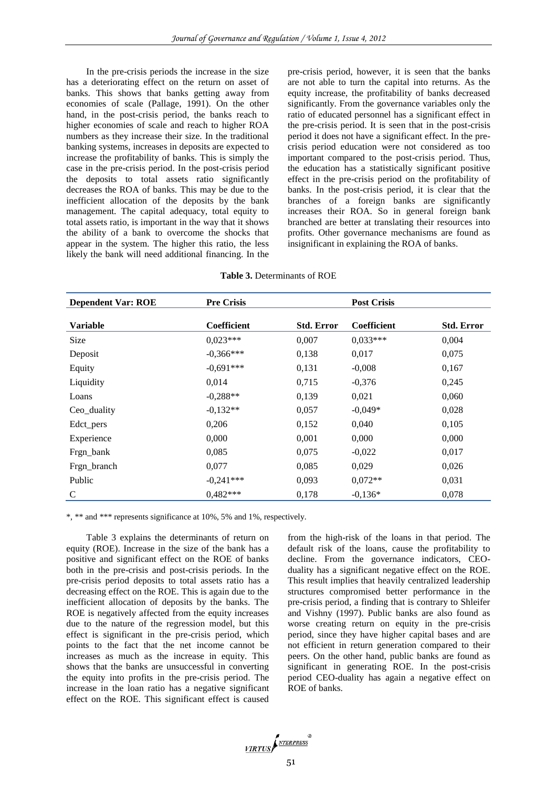In the pre-crisis periods the increase in the size has a deteriorating effect on the return on asset of banks. This shows that banks getting away from economies of scale (Pallage, 1991). On the other hand, in the post-crisis period, the banks reach to higher economies of scale and reach to higher ROA numbers as they increase their size. In the traditional banking systems, increases in deposits are expected to increase the profitability of banks. This is simply the case in the pre-crisis period. In the post-crisis period the deposits to total assets ratio significantly decreases the ROA of banks. This may be due to the inefficient allocation of the deposits by the bank management. The capital adequacy, total equity to total assets ratio, is important in the way that it shows the ability of a bank to overcome the shocks that appear in the system. The higher this ratio, the less likely the bank will need additional financing. In the

pre-crisis period, however, it is seen that the banks are not able to turn the capital into returns. As the equity increase, the profitability of banks decreased significantly. From the governance variables only the ratio of educated personnel has a significant effect in the pre-crisis period. It is seen that in the post-crisis period it does not have a significant effect. In the precrisis period education were not considered as too important compared to the post-crisis period. Thus, the education has a statistically significant positive effect in the pre-crisis period on the profitability of banks. In the post-crisis period, it is clear that the branches of a foreign banks are significantly increases their ROA. So in general foreign bank branched are better at translating their resources into profits. Other governance mechanisms are found as insignificant in explaining the ROA of banks.

| <b>Dependent Var: ROE</b> | <b>Pre Crisis</b> |                   | <b>Post Crisis</b> |                   |
|---------------------------|-------------------|-------------------|--------------------|-------------------|
| <b>Variable</b>           | Coefficient       | <b>Std. Error</b> | Coefficient        | <b>Std. Error</b> |
| Size                      | $0,023***$        | 0,007             | $0.033***$         | 0,004             |
| Deposit                   | $-0.366***$       | 0.138             | 0,017              | 0,075             |
| Equity                    | $-0.691***$       | 0,131             | $-0,008$           | 0,167             |
| Liquidity                 | 0,014             | 0,715             | $-0,376$           | 0,245             |
| Loans                     | $-0,288**$        | 0,139             | 0,021              | 0,060             |
| Ceo_duality               | $-0.132**$        | 0,057             | $-0,049*$          | 0,028             |
| Edct pers                 | 0,206             | 0,152             | 0,040              | 0,105             |
| Experience                | 0,000             | 0,001             | 0,000              | 0,000             |
| Frgn_bank                 | 0.085             | 0,075             | $-0.022$           | 0,017             |
| Frgn_branch               | 0,077             | 0,085             | 0,029              | 0,026             |
| Public                    | $-0,241***$       | 0,093             | $0.072**$          | 0,031             |
| $\mathsf{C}$              | $0.482***$        | 0,178             | $-0.136*$          | 0,078             |

**Table 3.** Determinants of ROE

\*, \*\* and \*\*\* represents significance at 10%, 5% and 1%, respectively.

Table 3 explains the determinants of return on equity (ROE). Increase in the size of the bank has a positive and significant effect on the ROE of banks both in the pre-crisis and post-crisis periods. In the pre-crisis period deposits to total assets ratio has a decreasing effect on the ROE. This is again due to the inefficient allocation of deposits by the banks. The ROE is negatively affected from the equity increases due to the nature of the regression model, but this effect is significant in the pre-crisis period, which points to the fact that the net income cannot be increases as much as the increase in equity. This shows that the banks are unsuccessful in converting the equity into profits in the pre-crisis period. The increase in the loan ratio has a negative significant effect on the ROE. This significant effect is caused

from the high-risk of the loans in that period. The default risk of the loans, cause the profitability to decline. From the governance indicators, CEOduality has a significant negative effect on the ROE. This result implies that heavily centralized leadership structures compromised better performance in the pre-crisis period, a finding that is contrary to Shleifer and Vishny (1997). Public banks are also found as worse creating return on equity in the pre-crisis period, since they have higher capital bases and are not efficient in return generation compared to their peers. On the other hand, public banks are found as significant in generating ROE. In the post-crisis period CEO-duality has again a negative effect on ROE of banks.

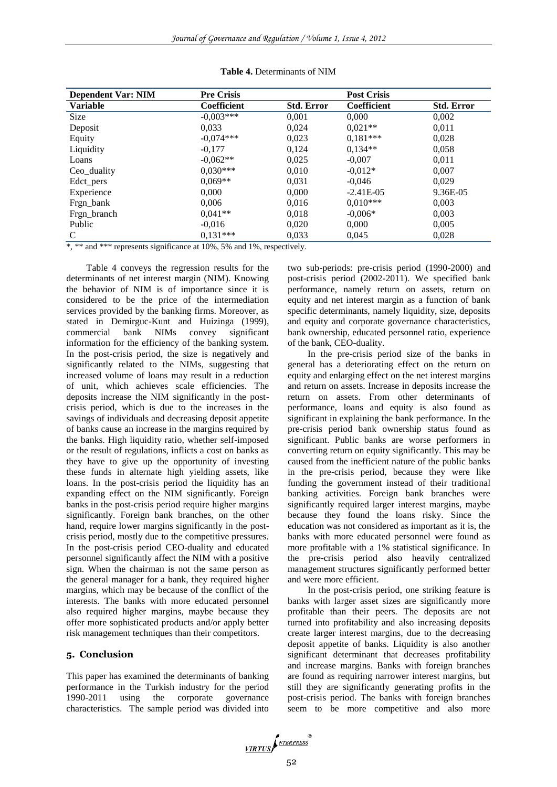| <b>Dependent Var: NIM</b> | <b>Pre Crisis</b>  |                   | <b>Post Crisis</b> |                   |
|---------------------------|--------------------|-------------------|--------------------|-------------------|
| <b>Variable</b>           | <b>Coefficient</b> | <b>Std. Error</b> | Coefficient        | <b>Std. Error</b> |
| <b>Size</b>               | $-0.003***$        | 0.001             | 0.000              | 0.002             |
| Deposit                   | 0.033              | 0,024             | $0.021**$          | 0,011             |
| Equity                    | $-0.074***$        | 0,023             | $0.181***$         | 0,028             |
| Liquidity                 | $-0,177$           | 0,124             | $0.134**$          | 0.058             |
| Loans                     | $-0.062**$         | 0,025             | $-0.007$           | 0,011             |
| Ceo_duality               | $0.030***$         | 0.010             | $-0.012*$          | 0.007             |
| Edct_pers                 | $0.069**$          | 0.031             | $-0.046$           | 0.029             |
| Experience                | 0.000              | 0.000             | $-2.41E-05$        | 9.36E-05          |
| Frgn_bank                 | 0.006              | 0,016             | $0.010***$         | 0,003             |
| Frgn_branch               | $0.041**$          | 0.018             | $-0.006*$          | 0.003             |
| Public                    | $-0,016$           | 0,020             | 0,000              | 0,005             |
| C                         | $0.131***$         | 0,033             | 0,045              | 0,028             |

#### **Table 4.** Determinants of NIM

\*, \*\* and \*\*\* represents significance at 10%, 5% and 1%, respectively.

Table 4 conveys the regression results for the determinants of net interest margin (NIM). Knowing the behavior of NIM is of importance since it is considered to be the price of the intermediation services provided by the banking firms. Moreover, as stated in Demirguc-Kunt and Huizinga (1999), commercial bank NIMs convey significant information for the efficiency of the banking system. In the post-crisis period, the size is negatively and significantly related to the NIMs, suggesting that increased volume of loans may result in a reduction of unit, which achieves scale efficiencies. The deposits increase the NIM significantly in the postcrisis period, which is due to the increases in the savings of individuals and decreasing deposit appetite of banks cause an increase in the margins required by the banks. High liquidity ratio, whether self-imposed or the result of regulations, inflicts a cost on banks as they have to give up the opportunity of investing these funds in alternate high yielding assets, like loans. In the post-crisis period the liquidity has an expanding effect on the NIM significantly. Foreign banks in the post-crisis period require higher margins significantly. Foreign bank branches, on the other hand, require lower margins significantly in the postcrisis period, mostly due to the competitive pressures. In the post-crisis period CEO-duality and educated personnel significantly affect the NIM with a positive sign. When the chairman is not the same person as the general manager for a bank, they required higher margins, which may be because of the conflict of the interests. The banks with more educated personnel also required higher margins, maybe because they offer more sophisticated products and/or apply better risk management techniques than their competitors.

# **5. Conclusion**

This paper has examined the determinants of banking performance in the Turkish industry for the period 1990-2011 using the corporate governance characteristics. The sample period was divided into two sub-periods: pre-crisis period (1990-2000) and post-crisis period (2002-2011). We specified bank performance, namely return on assets, return on equity and net interest margin as a function of bank specific determinants, namely liquidity, size, deposits and equity and corporate governance characteristics, bank ownership, educated personnel ratio, experience of the bank, CEO-duality.

In the pre-crisis period size of the banks in general has a deteriorating effect on the return on equity and enlarging effect on the net interest margins and return on assets. Increase in deposits increase the return on assets. From other determinants of performance, loans and equity is also found as significant in explaining the bank performance. In the pre-crisis period bank ownership status found as significant. Public banks are worse performers in converting return on equity significantly. This may be caused from the inefficient nature of the public banks in the pre-crisis period, because they were like funding the government instead of their traditional banking activities. Foreign bank branches were significantly required larger interest margins, maybe because they found the loans risky. Since the education was not considered as important as it is, the banks with more educated personnel were found as more profitable with a 1% statistical significance. In the pre-crisis period also heavily centralized management structures significantly performed better and were more efficient.

In the post-crisis period, one striking feature is banks with larger asset sizes are significantly more profitable than their peers. The deposits are not turned into profitability and also increasing deposits create larger interest margins, due to the decreasing deposit appetite of banks. Liquidity is also another significant determinant that decreases profitability and increase margins. Banks with foreign branches are found as requiring narrower interest margins, but still they are significantly generating profits in the post-crisis period. The banks with foreign branches seem to be more competitive and also more